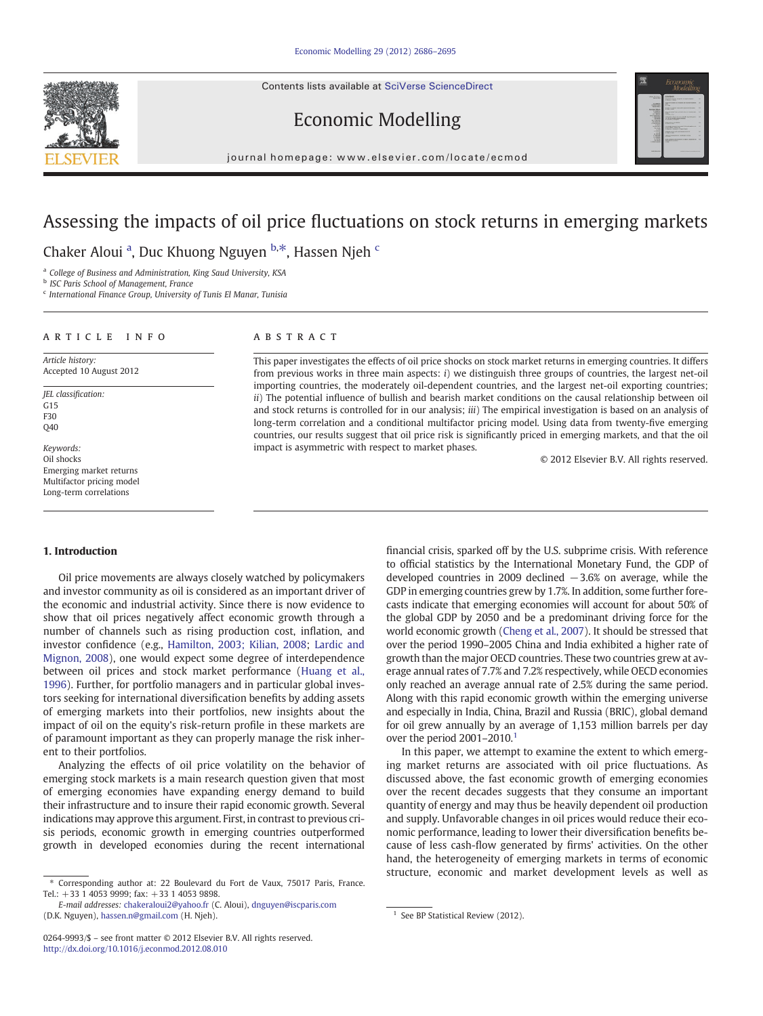Contents lists available at [SciVerse ScienceDirect](http://www.sciencedirect.com/science/journal/02649993)





Economic Modelling

journal homepage: www.elsevier.com/locate/ecmod

# Assessing the impacts of oil price fluctuations on stock returns in emerging markets

Chaker Aloui<sup>a</sup>, Duc Khuong Nguyen b.\*, Hassen Njeh <sup>c</sup>

<sup>a</sup> College of Business and Administration, King Saud University, KSA

**b** ISC Paris School of Management, France

<sup>c</sup> International Finance Group, University of Tunis El Manar, Tunisia

### article info abstract

Article history: Accepted 10 August 2012

JEL classification: G15 F30 Q40

Keywords: Oil shocks Emerging market returns Multifactor pricing model Long-term correlations

This paper investigates the effects of oil price shocks on stock market returns in emerging countries. It differs from previous works in three main aspects: i) we distinguish three groups of countries, the largest net-oil importing countries, the moderately oil-dependent countries, and the largest net-oil exporting countries; ii) The potential influence of bullish and bearish market conditions on the causal relationship between oil and stock returns is controlled for in our analysis; *iii*) The empirical investigation is based on an analysis of long-term correlation and a conditional multifactor pricing model. Using data from twenty-five emerging countries, our results suggest that oil price risk is significantly priced in emerging markets, and that the oil impact is asymmetric with respect to market phases.

© 2012 Elsevier B.V. All rights reserved.

#### 1. Introduction

Oil price movements are always closely watched by policymakers and investor community as oil is considered as an important driver of the economic and industrial activity. Since there is now evidence to show that oil prices negatively affect economic growth through a number of channels such as rising production cost, inflation, and investor confidence (e.g., [Hamilton, 2003; Kilian, 2008](#page--1-0); [Lardic and](#page--1-0) [Mignon, 2008\)](#page--1-0), one would expect some degree of interdependence between oil prices and stock market performance [\(Huang et al.,](#page--1-0) [1996\)](#page--1-0). Further, for portfolio managers and in particular global investors seeking for international diversification benefits by adding assets of emerging markets into their portfolios, new insights about the impact of oil on the equity's risk-return profile in these markets are of paramount important as they can properly manage the risk inherent to their portfolios.

Analyzing the effects of oil price volatility on the behavior of emerging stock markets is a main research question given that most of emerging economies have expanding energy demand to build their infrastructure and to insure their rapid economic growth. Several indications may approve this argument. First, in contrast to previous crisis periods, economic growth in emerging countries outperformed growth in developed economies during the recent international

financial crisis, sparked off by the U.S. subprime crisis. With reference to official statistics by the International Monetary Fund, the GDP of developed countries in 2009 declined −3.6% on average, while the GDP in emerging countries grew by 1.7%. In addition, some further forecasts indicate that emerging economies will account for about 50% of the global GDP by 2050 and be a predominant driving force for the world economic growth ([Cheng et al., 2007](#page--1-0)). It should be stressed that over the period 1990–2005 China and India exhibited a higher rate of growth than the major OECD countries. These two countries grew at average annual rates of 7.7% and 7.2% respectively, while OECD economies only reached an average annual rate of 2.5% during the same period. Along with this rapid economic growth within the emerging universe and especially in India, China, Brazil and Russia (BRIC), global demand for oil grew annually by an average of 1,153 million barrels per day over the period  $2001-2010$ .<sup>1</sup>

In this paper, we attempt to examine the extent to which emerging market returns are associated with oil price fluctuations. As discussed above, the fast economic growth of emerging economies over the recent decades suggests that they consume an important quantity of energy and may thus be heavily dependent oil production and supply. Unfavorable changes in oil prices would reduce their economic performance, leading to lower their diversification benefits because of less cash-flow generated by firms' activities. On the other hand, the heterogeneity of emerging markets in terms of economic structure, economic and market development levels as well as

<sup>⁎</sup> Corresponding author at: 22 Boulevard du Fort de Vaux, 75017 Paris, France. Tel.: +33 1 4053 9999; fax: +33 1 4053 9898.

E-mail addresses: [chakeraloui2@yahoo.fr](mailto:chakeraloui2@yahoo.fr) (C. Aloui), [dnguyen@iscparis.com](mailto:dnguyen@iscparis.com) (D.K. Nguyen), [hassen.n@gmail.com](mailto:hassen.n@gmail.com) (H. Njeh). 1 See BP Statistical Review (2012).

<sup>0264-9993/\$</sup> – see front matter © 2012 Elsevier B.V. All rights reserved. <http://dx.doi.org/10.1016/j.econmod.2012.08.010>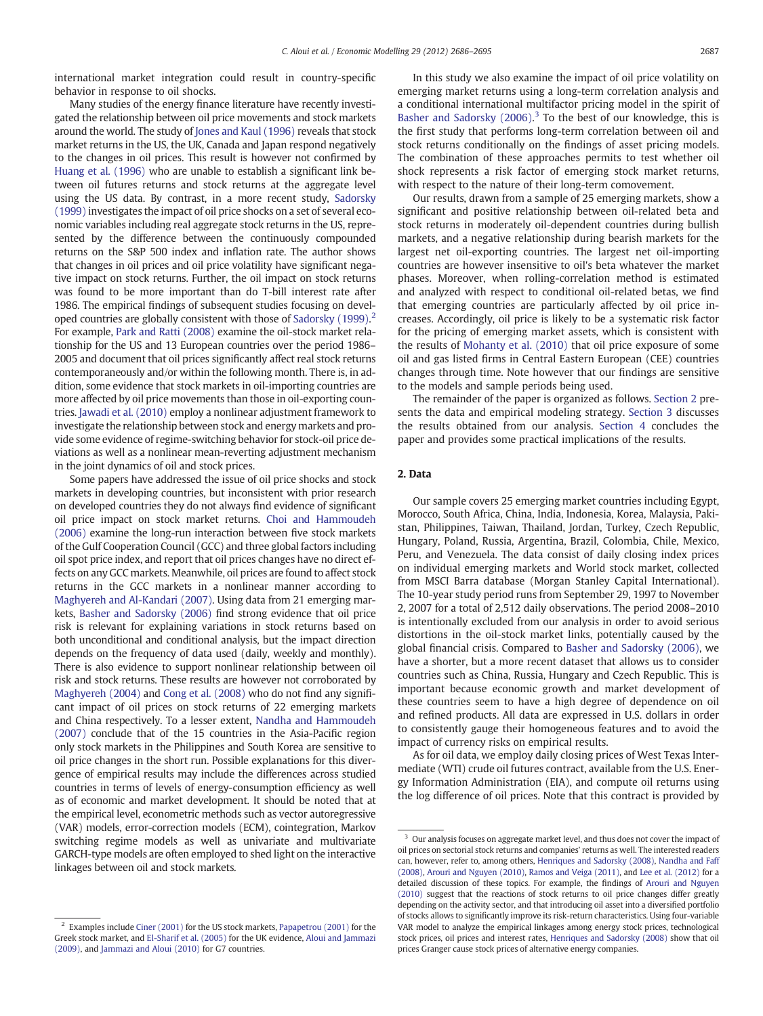international market integration could result in country-specific behavior in response to oil shocks.

Many studies of the energy finance literature have recently investigated the relationship between oil price movements and stock markets around the world. The study of [Jones and Kaul \(1996\)](#page--1-0) reveals that stock market returns in the US, the UK, Canada and Japan respond negatively to the changes in oil prices. This result is however not confirmed by [Huang et al. \(1996\)](#page--1-0) who are unable to establish a significant link between oil futures returns and stock returns at the aggregate level using the US data. By contrast, in a more recent study, [Sadorsky](#page--1-0) [\(1999\)](#page--1-0) investigates the impact of oil price shocks on a set of several economic variables including real aggregate stock returns in the US, represented by the difference between the continuously compounded returns on the S&P 500 index and inflation rate. The author shows that changes in oil prices and oil price volatility have significant negative impact on stock returns. Further, the oil impact on stock returns was found to be more important than do T-bill interest rate after 1986. The empirical findings of subsequent studies focusing on devel-oped countries are globally consistent with those of [Sadorsky \(1999\)](#page--1-0).<sup>2</sup> For example, [Park and Ratti \(2008\)](#page--1-0) examine the oil-stock market relationship for the US and 13 European countries over the period 1986– 2005 and document that oil prices significantly affect real stock returns contemporaneously and/or within the following month. There is, in addition, some evidence that stock markets in oil-importing countries are more affected by oil price movements than those in oil-exporting countries. [Jawadi et al. \(2010\)](#page--1-0) employ a nonlinear adjustment framework to investigate the relationship between stock and energy markets and provide some evidence of regime-switching behavior for stock-oil price deviations as well as a nonlinear mean-reverting adjustment mechanism in the joint dynamics of oil and stock prices.

Some papers have addressed the issue of oil price shocks and stock markets in developing countries, but inconsistent with prior research on developed countries they do not always find evidence of significant oil price impact on stock market returns. [Choi and Hammoudeh](#page--1-0) [\(2006\)](#page--1-0) examine the long-run interaction between five stock markets of the Gulf Cooperation Council (GCC) and three global factors including oil spot price index, and report that oil prices changes have no direct effects on any GCC markets. Meanwhile, oil prices are found to affect stock returns in the GCC markets in a nonlinear manner according to [Maghyereh and Al-Kandari \(2007\).](#page--1-0) Using data from 21 emerging markets, [Basher and Sadorsky \(2006\)](#page--1-0) find strong evidence that oil price risk is relevant for explaining variations in stock returns based on both unconditional and conditional analysis, but the impact direction depends on the frequency of data used (daily, weekly and monthly). There is also evidence to support nonlinear relationship between oil risk and stock returns. These results are however not corroborated by [Maghyereh \(2004\)](#page--1-0) and [Cong et al. \(2008\)](#page--1-0) who do not find any significant impact of oil prices on stock returns of 22 emerging markets and China respectively. To a lesser extent, [Nandha and Hammoudeh](#page--1-0) [\(2007\)](#page--1-0) conclude that of the 15 countries in the Asia-Pacific region only stock markets in the Philippines and South Korea are sensitive to oil price changes in the short run. Possible explanations for this divergence of empirical results may include the differences across studied countries in terms of levels of energy-consumption efficiency as well as of economic and market development. It should be noted that at the empirical level, econometric methods such as vector autoregressive (VAR) models, error-correction models (ECM), cointegration, Markov switching regime models as well as univariate and multivariate GARCH-type models are often employed to shed light on the interactive linkages between oil and stock markets.

In this study we also examine the impact of oil price volatility on emerging market returns using a long-term correlation analysis and a conditional international multifactor pricing model in the spirit of Basher and Sadorsky  $(2006).$ <sup>3</sup> To the best of our knowledge, this is the first study that performs long-term correlation between oil and stock returns conditionally on the findings of asset pricing models. The combination of these approaches permits to test whether oil shock represents a risk factor of emerging stock market returns, with respect to the nature of their long-term comovement.

Our results, drawn from a sample of 25 emerging markets, show a significant and positive relationship between oil-related beta and stock returns in moderately oil-dependent countries during bullish markets, and a negative relationship during bearish markets for the largest net oil-exporting countries. The largest net oil-importing countries are however insensitive to oil's beta whatever the market phases. Moreover, when rolling-correlation method is estimated and analyzed with respect to conditional oil-related betas, we find that emerging countries are particularly affected by oil price increases. Accordingly, oil price is likely to be a systematic risk factor for the pricing of emerging market assets, which is consistent with the results of [Mohanty et al. \(2010\)](#page--1-0) that oil price exposure of some oil and gas listed firms in Central Eastern European (CEE) countries changes through time. Note however that our findings are sensitive to the models and sample periods being used.

The remainder of the paper is organized as follows. Section 2 presents the data and empirical modeling strategy. [Section 3](#page--1-0) discusses the results obtained from our analysis. [Section 4](#page--1-0) concludes the paper and provides some practical implications of the results.

#### 2. Data

Our sample covers 25 emerging market countries including Egypt, Morocco, South Africa, China, India, Indonesia, Korea, Malaysia, Pakistan, Philippines, Taiwan, Thailand, Jordan, Turkey, Czech Republic, Hungary, Poland, Russia, Argentina, Brazil, Colombia, Chile, Mexico, Peru, and Venezuela. The data consist of daily closing index prices on individual emerging markets and World stock market, collected from MSCI Barra database (Morgan Stanley Capital International). The 10-year study period runs from September 29, 1997 to November 2, 2007 for a total of 2,512 daily observations. The period 2008–2010 is intentionally excluded from our analysis in order to avoid serious distortions in the oil-stock market links, potentially caused by the global financial crisis. Compared to [Basher and Sadorsky \(2006\)](#page--1-0), we have a shorter, but a more recent dataset that allows us to consider countries such as China, Russia, Hungary and Czech Republic. This is important because economic growth and market development of these countries seem to have a high degree of dependence on oil and refined products. All data are expressed in U.S. dollars in order to consistently gauge their homogeneous features and to avoid the impact of currency risks on empirical results.

As for oil data, we employ daily closing prices of West Texas Intermediate (WTI) crude oil futures contract, available from the U.S. Energy Information Administration (EIA), and compute oil returns using the log difference of oil prices. Note that this contract is provided by

<sup>&</sup>lt;sup>2</sup> Examples include [Ciner \(2001\)](#page--1-0) for the US stock markets, [Papapetrou \(2001\)](#page--1-0) for the Greek stock market, and [El-Sharif et al. \(2005\)](#page--1-0) for the UK evidence, [Aloui and Jammazi](#page--1-0) [\(2009\),](#page--1-0) and [Jammazi and Aloui \(2010\)](#page--1-0) for G7 countries.

 $^3\,$  Our analysis focuses on aggregate market level, and thus does not cover the impact of oil prices on sectorial stock returns and companies' returns as well. The interested readers can, however, refer to, among others, [Henriques and Sadorsky \(2008\),](#page--1-0) [Nandha and Faff](#page--1-0) [\(2008\)](#page--1-0), [Arouri and Nguyen \(2010\),](#page--1-0) [Ramos and Veiga \(2011\),](#page--1-0) and [Lee et al. \(2012\)](#page--1-0) for a detailed discussion of these topics. For example, the findings of [Arouri and Nguyen](#page--1-0) [\(2010\)](#page--1-0) suggest that the reactions of stock returns to oil price changes differ greatly depending on the activity sector, and that introducing oil asset into a diversified portfolio of stocks allows to significantly improve its risk-return characteristics. Using four-variable VAR model to analyze the empirical linkages among energy stock prices, technological stock prices, oil prices and interest rates, [Henriques and Sadorsky \(2008\)](#page--1-0) show that oil prices Granger cause stock prices of alternative energy companies.